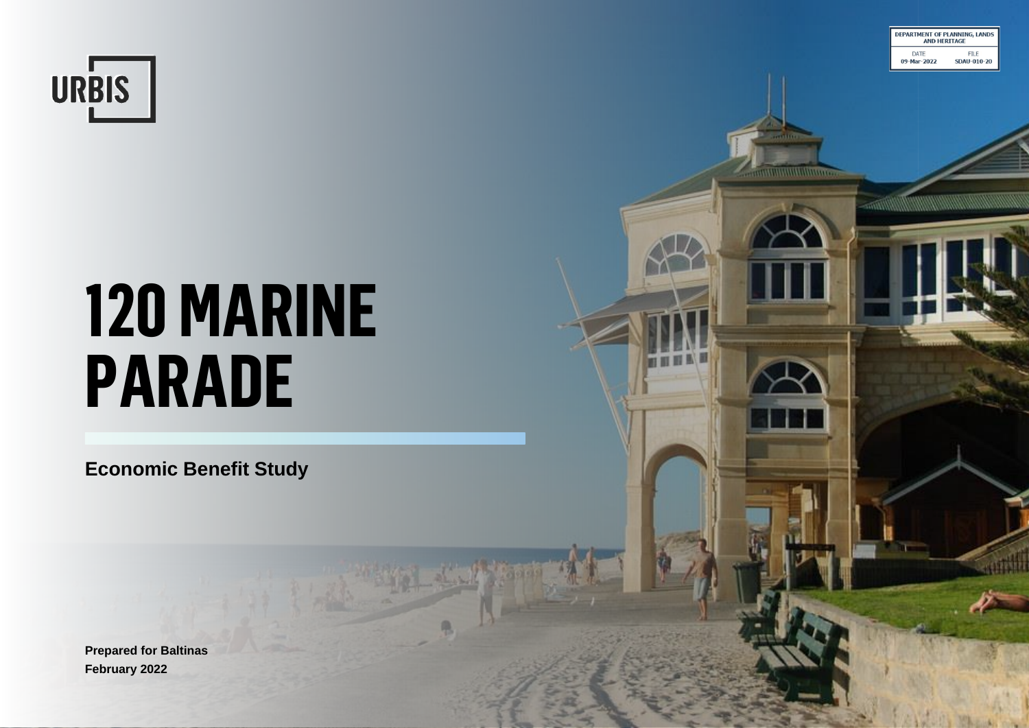

# **120 MARINE PARADE**

**DEPARTMENT OF PLANNING, LAND**<br>AND HERITAGE

**FILE** 

**SDAU-010-20** 

DATE

*<u>MUMMMMMMM</u>* 

09-Mar-2022

**Economic Benefit Study**

**Prepared for Baltinas February 2022**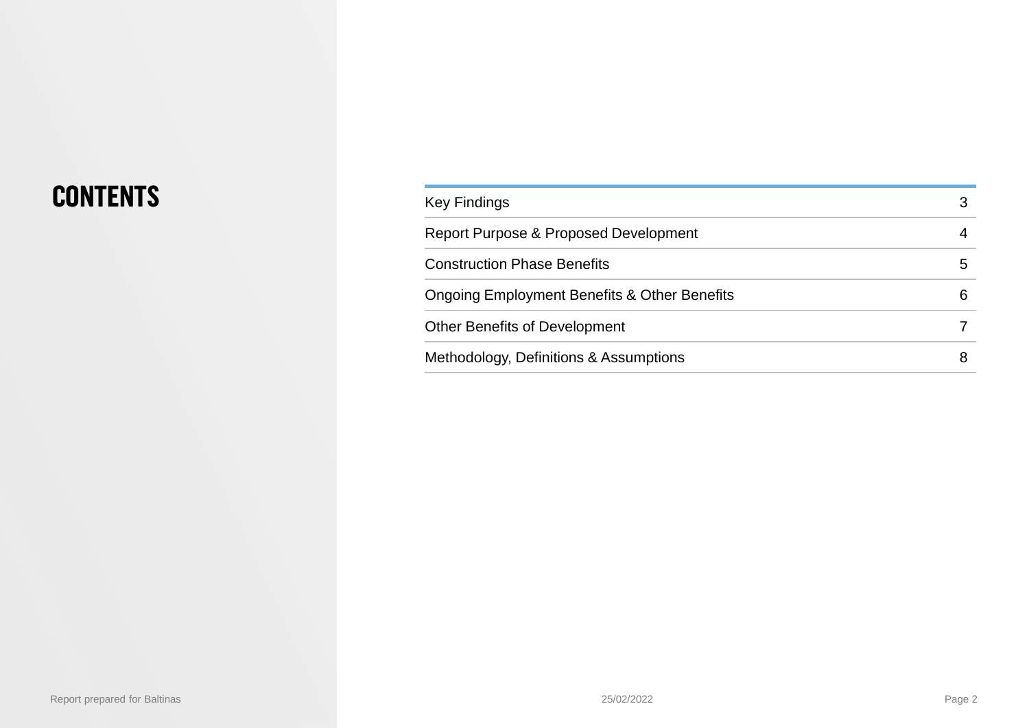## **CONTENTS**

| <b>Key Findings</b>                                     |   |
|---------------------------------------------------------|---|
| Report Purpose & Proposed Development                   |   |
| <b>Construction Phase Benefits</b>                      | 5 |
| <b>Ongoing Employment Benefits &amp; Other Benefits</b> | 6 |
| <b>Other Benefits of Development</b>                    |   |
| Methodology, Definitions & Assumptions                  |   |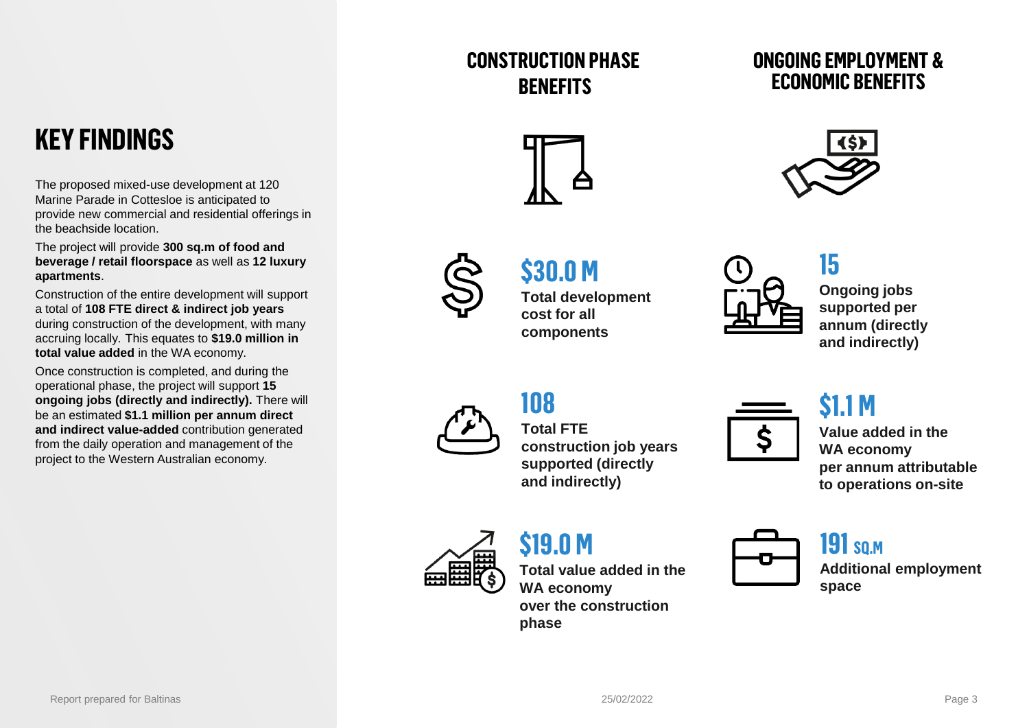### **CONSTRUCTION PHASE BENEFITS**

#### **ONGOING EMPLOYMENT & ECONOMIC BENEFITS**

## **KEY FINDINGS**

The proposed mixed-use development at 120 Marine Parade in Cottesloe is anticipated to provide new commercial and residential offerings in the beachside location.

The project will provide **300 sq.m of food and beverage / retail floorspace** as well as **12 luxury apartments**.

Construction of the entire development will support a total of **108 FTE direct & indirect job years**  during construction of the development, with many accruing locally. This equates to **\$19.0 million in total value added** in the WA economy.

Once construction is completed, and during the operational phase, the project will support **15 ongoing jobs (directly and indirectly).** There will be an estimated **\$1.1 million per annum direct and indirect value-added** contribution generated from the daily operation and management of the project to the Western Australian economy.





**15**



## **\$30.0 M cost for all**

**Total development components**



**Ongoing jobs supported per annum (directly and indirectly)**

## **108**

**Total FTE construction job years supported (directly and indirectly)**



## **\$1.1 M**

**Value added in the WA economy per annum attributable to operations on-site**

**\$19.0 M**

**Total value added in the WA economy over the construction phase**



## **191 sq.m**

**Additional employment space**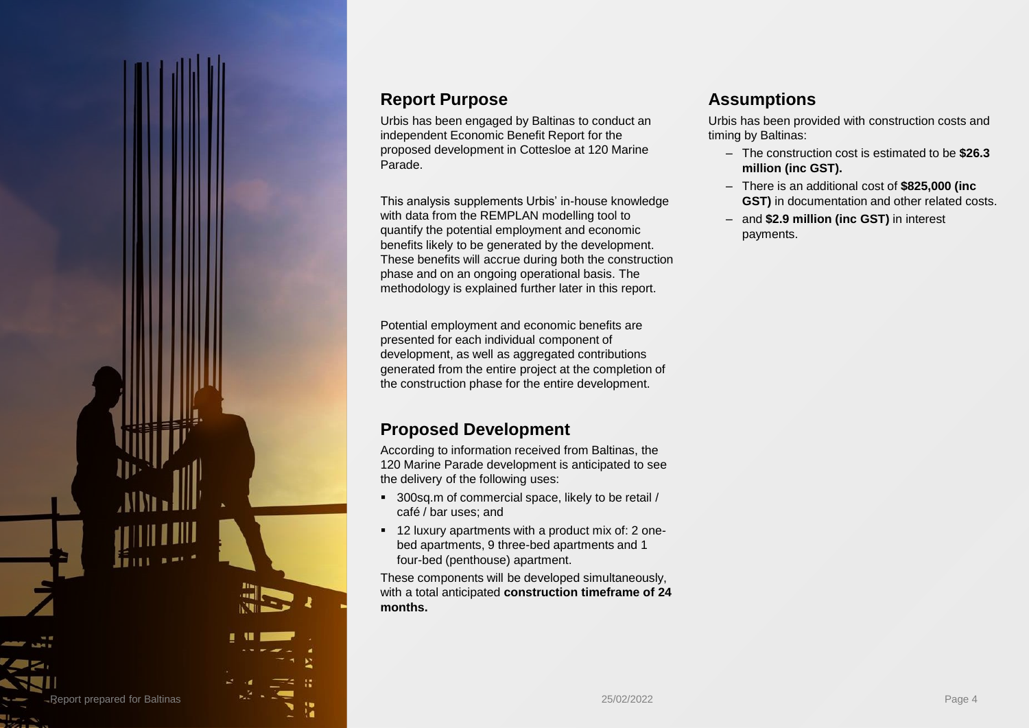

#### **Report Purpose**

Urbis has been engaged by Baltinas to conduct an independent Economic Benefit Report for the proposed development in Cottesloe at 120 Marine Parade.

This analysis supplements Urbis' in-house knowledge with data from the REMPLAN modelling tool to quantify the potential employment and economic benefits likely to be generated by the development. These benefits will accrue during both the construction phase and on an ongoing operational basis. The methodology is explained further later in this report.

Potential employment and economic benefits are presented for each individual component of development, as well as aggregated contributions generated from the entire project at the completion of the construction phase for the entire development.

#### **Proposed Development**

According to information received from Baltinas, the 120 Marine Parade development is anticipated to see the delivery of the following uses:

- 300sq.m of commercial space, likely to be retail / café / bar uses; and
- 12 luxury apartments with a product mix of: 2 onebed apartments, 9 three-bed apartments and 1 four-bed (penthouse) apartment.

These components will be developed simultaneously, with a total anticipated **construction timeframe of 24 months.**

#### **Assumptions**

Urbis has been provided with construction costs and timing by Baltinas:

- The construction cost is estimated to be **\$26.3 million (inc GST).**
- There is an additional cost of **\$825,000 (inc GST)** in documentation and other related costs.
- and **\$2.9 million (inc GST)** in interest payments.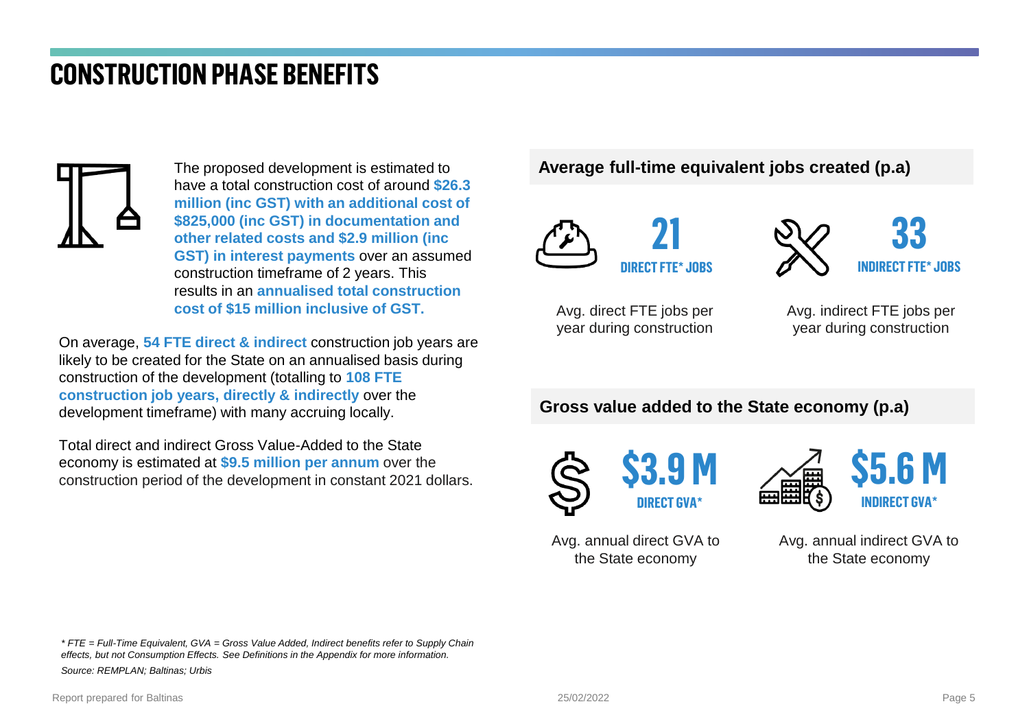## **CONSTRUCTION PHASE BENEFITS**



The proposed development is estimated to have a total construction cost of around **\$26.3 million (inc GST) with an additional cost of \$825,000 (inc GST) in documentation and other related costs and \$2.9 million (inc GST) in interest payments** over an assumed construction timeframe of 2 years. This results in an **annualised total construction cost of \$15 million inclusive of GST.**

On average, **54 FTE direct & indirect** construction job years are likely to be created for the State on an annualised basis during construction of the development (totalling to **108 FTE construction job years, directly & indirectly** over the development timeframe) with many accruing locally.

Total direct and indirect Gross Value-Added to the State economy is estimated at **\$9.5 million per annum** over the construction period of the development in constant 2021 dollars. **Average full-time equivalent jobs created (p.a)**





Avg. direct FTE jobs per year during construction

Avg. indirect FTE jobs per year during construction

**Gross value added to the State economy (p.a)**





Avg. annual direct GVA to the State economy

Avg. annual indirect GVA to the State economy

*\* FTE = Full-Time Equivalent, GVA = Gross Value Added, Indirect benefits refer to Supply Chain effects, but not Consumption Effects. See Definitions in the Appendix for more information. Source: REMPLAN; Baltinas; Urbis*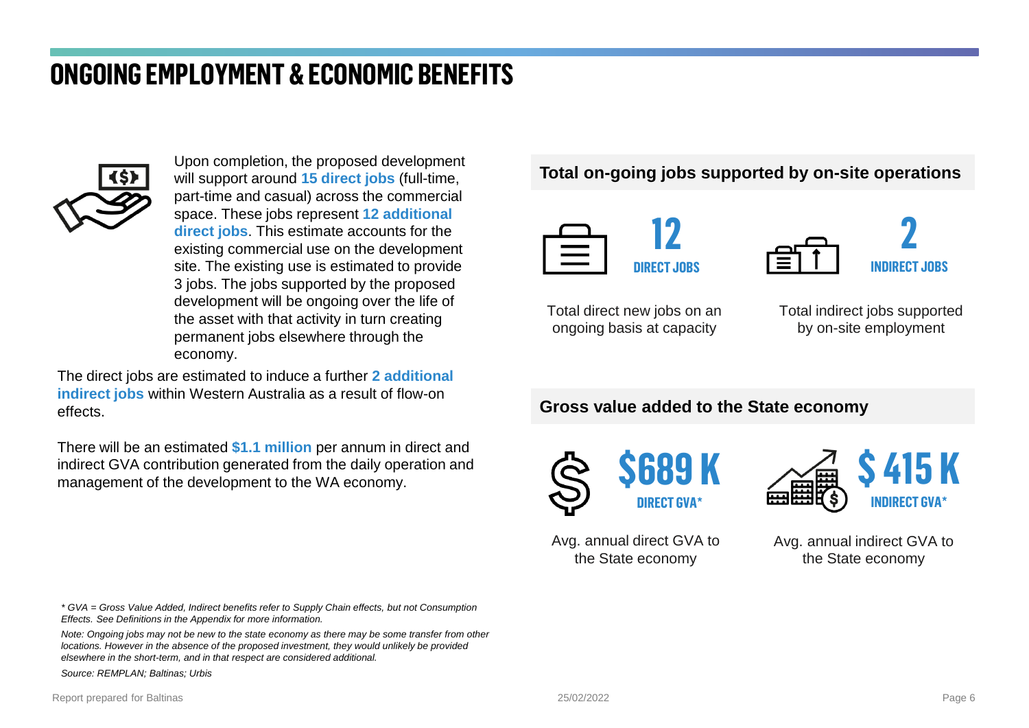## **ONGOING EMPLOYMENT & ECONOMIC BENEFITS**



Upon completion, the proposed development will support around **15 direct jobs** (full-time, part-time and casual) across the commercial space. These jobs represent **12 additional direct jobs**. This estimate accounts for the existing commercial use on the development site. The existing use is estimated to provide 3 jobs. The jobs supported by the proposed development will be ongoing over the life of the asset with that activity in turn creating permanent jobs elsewhere through the economy.

The direct jobs are estimated to induce a further **2 additional indirect jobs** within Western Australia as a result of flow-on effects.

There will be an estimated **\$1.1 million** per annum in direct and indirect GVA contribution generated from the daily operation and management of the development to the WA economy.

*\* GVA = Gross Value Added, Indirect benefits refer to Supply Chain effects, but not Consumption Effects. See Definitions in the Appendix for more information.*

*Note: Ongoing jobs may not be new to the state economy as there may be some transfer from other locations. However in the absence of the proposed investment, they would unlikely be provided elsewhere in the short-term, and in that respect are considered additional.*

*Source: REMPLAN; Baltinas; Urbis*

#### **Total on-going jobs supported by on-site operations**



**2 INDIRECT JOBS**

Total direct new jobs on an ongoing basis at capacity

Total indirect jobs supported by on-site employment

#### **Gross value added to the State economy**





Avg. annual direct GVA to the State economy

Avg. annual indirect GVA to the State economy

Report prepared for Baltinas **Properties** 25/02/2022 **Page 6** 25/02/2022 Page 6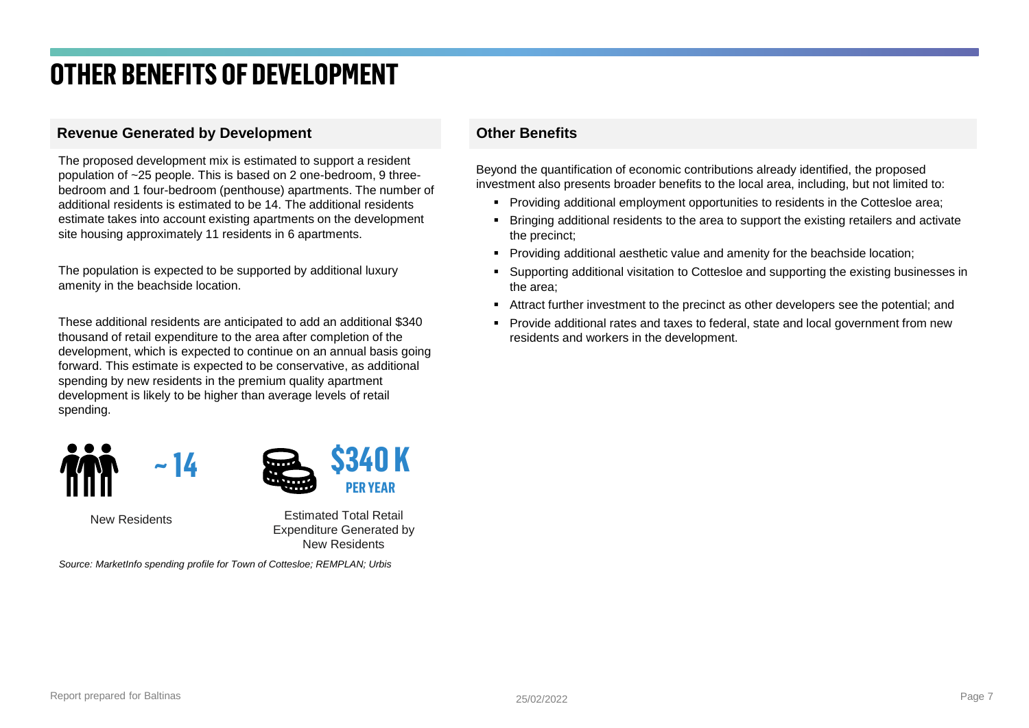## **OTHER BENEFITS OF DEVELOPMENT**

#### **Revenue Generated by Development**

The proposed development mix is estimated to support a resident population of ~25 people. This is based on 2 one-bedroom, 9 threebedroom and 1 four-bedroom (penthouse) apartments. The number of additional residents is estimated to be 14. The additional residents estimate takes into account existing apartments on the development site housing approximately 11 residents in 6 apartments.

The population is expected to be supported by additional luxury amenity in the beachside location.

These additional residents are anticipated to add an additional \$340 thousand of retail expenditure to the area after completion of the development, which is expected to continue on an annual basis going forward. This estimate is expected to be conservative, as additional spending by new residents in the premium quality apartment development is likely to be higher than average levels of retail spending.



New Residents

Estimated Total Retail Expenditure Generated by New Residents

*Source: MarketInfo spending profile for Town of Cottesloe; REMPLAN; Urbis*

#### **Other Benefits**

Beyond the quantification of economic contributions already identified, the proposed investment also presents broader benefits to the local area, including, but not limited to:

- **Providing additional employment opportunities to residents in the Cottesloe area;**
- Bringing additional residents to the area to support the existing retailers and activate the precinct;
- Providing additional aesthetic value and amenity for the beachside location;
- Supporting additional visitation to Cottesloe and supporting the existing businesses in the area;
- **EXECT** Attract further investment to the precinct as other developers see the potential; and
- **•** Provide additional rates and taxes to federal, state and local government from new residents and workers in the development.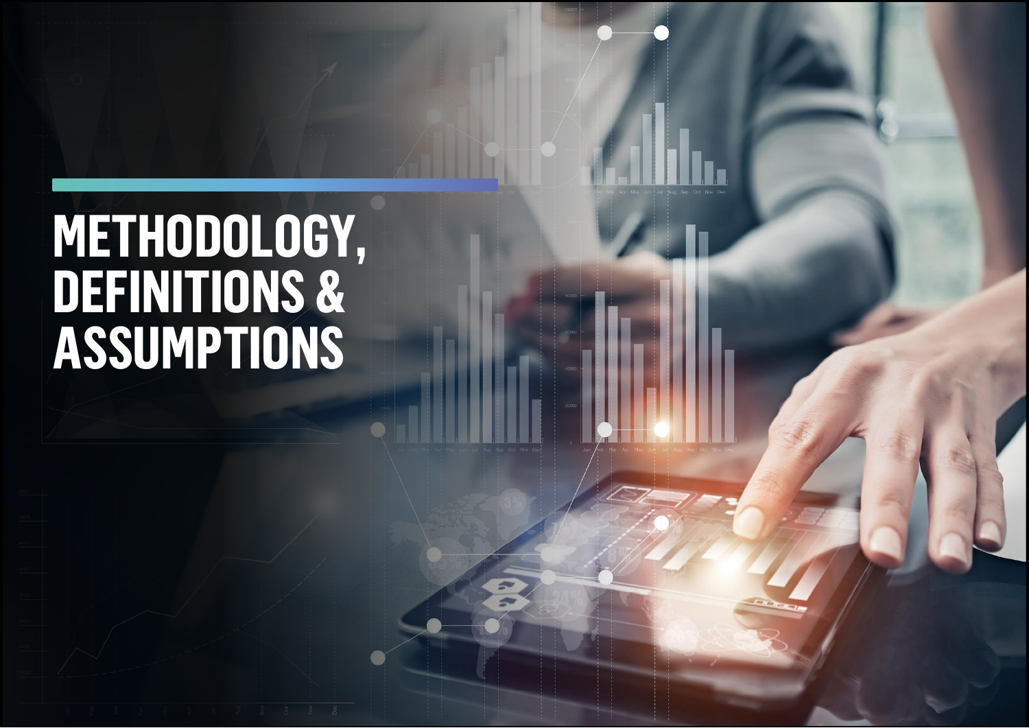# **METHODOLOGY, DEFINITIONS & ASSUMPTIONS**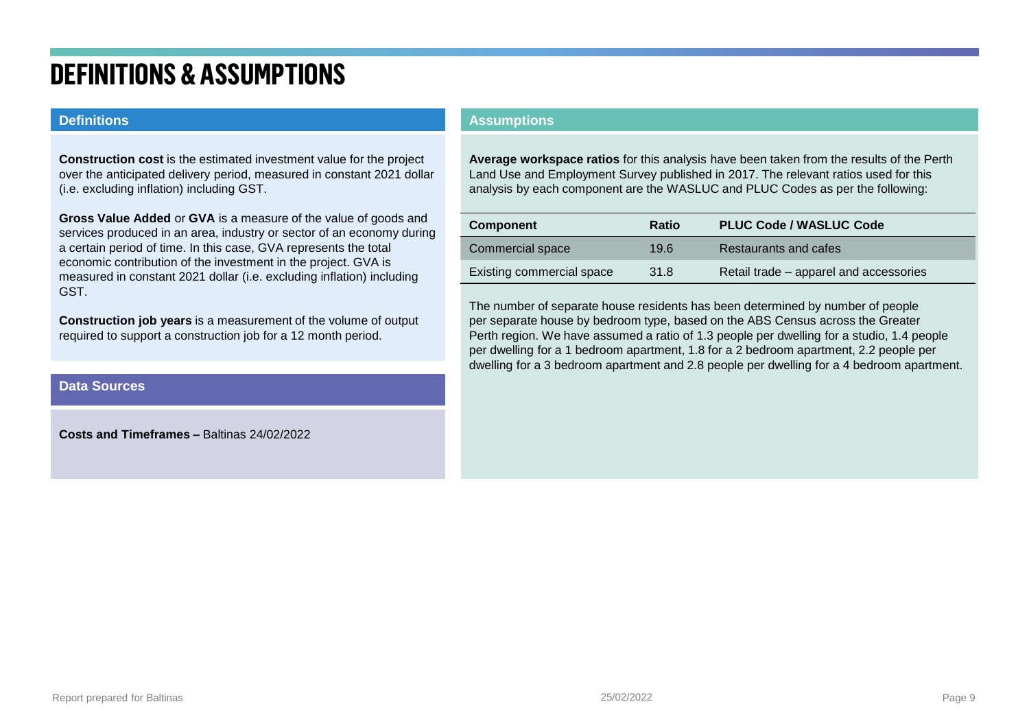## **DEFINITIONS & ASSUMPTIONS**

#### **Definitions**

**Construction cost** is the estimated investment value for the project over the anticipated delivery period, measured in constant 2021 dollar (i.e. excluding inflation) including GST.

**Gross Value Added** or **GVA** is a measure of the value of goods and services produced in an area, industry or sector of an economy during a certain period of time. In this case, GVA represents the total economic contribution of the investment in the project. GVA is measured in constant 2021 dollar (i.e. excluding inflation) including GST.

**Construction job years** is a measurement of the volume of output required to support a construction job for a 12 month period.

#### **Data Sources**

**Costs and Timeframes –** Baltinas 24/02/2022

#### **Assumptions**

**Average workspace ratios** for this analysis have been taken from the results of the Perth Land Use and Employment Survey published in 2017. The relevant ratios used for this analysis by each component are the WASLUC and PLUC Codes as per the following:

| <b>Component</b>          | Ratio | <b>PLUC Code / WASLUC Code</b>         |
|---------------------------|-------|----------------------------------------|
| Commercial space          | 19.6  | Restaurants and cafes                  |
| Existing commercial space | 31.8  | Retail trade – apparel and accessories |

The number of separate house residents has been determined by number of people per separate house by bedroom type, based on the ABS Census across the Greater Perth region. We have assumed a ratio of 1.3 people per dwelling for a studio, 1.4 people per dwelling for a 1 bedroom apartment, 1.8 for a 2 bedroom apartment, 2.2 people per dwelling for a 3 bedroom apartment and 2.8 people per dwelling for a 4 bedroom apartment.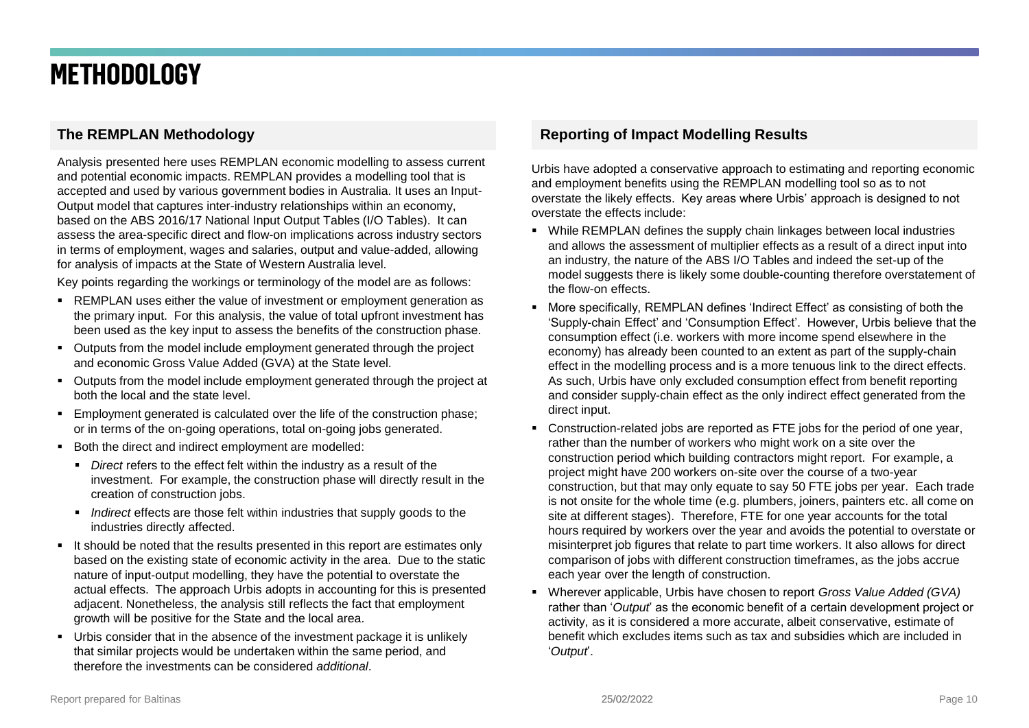## **METHODOLOGY**

#### **The REMPLAN Methodology**

Analysis presented here uses REMPLAN economic modelling to assess current and potential economic impacts. REMPLAN provides a modelling tool that is accepted and used by various government bodies in Australia. It uses an Input-Output model that captures inter-industry relationships within an economy, based on the ABS 2016/17 National Input Output Tables (I/O Tables). It can assess the area-specific direct and flow-on implications across industry sectors in terms of employment, wages and salaries, output and value-added, allowing for analysis of impacts at the State of Western Australia level.

Key points regarding the workings or terminology of the model are as follows:

- **EXEMPLAN** uses either the value of investment or employment generation as the primary input. For this analysis, the value of total upfront investment has been used as the key input to assess the benefits of the construction phase.
- Outputs from the model include employment generated through the project and economic Gross Value Added (GVA) at the State level.
- Outputs from the model include employment generated through the project at both the local and the state level.
- Employment generated is calculated over the life of the construction phase: or in terms of the on-going operations, total on-going jobs generated.
- Both the direct and indirect employment are modelled:
	- *Direct* refers to the effect felt within the industry as a result of the investment. For example, the construction phase will directly result in the creation of construction jobs.
	- *Indirect* effects are those felt within industries that supply goods to the industries directly affected.
- It should be noted that the results presented in this report are estimates only based on the existing state of economic activity in the area. Due to the static nature of input-output modelling, they have the potential to overstate the actual effects. The approach Urbis adopts in accounting for this is presented adjacent. Nonetheless, the analysis still reflects the fact that employment growth will be positive for the State and the local area.
- Urbis consider that in the absence of the investment package it is unlikely that similar projects would be undertaken within the same period, and therefore the investments can be considered *additional*.

#### **Reporting of Impact Modelling Results**

Urbis have adopted a conservative approach to estimating and reporting economic and employment benefits using the REMPLAN modelling tool so as to not overstate the likely effects. Key areas where Urbis' approach is designed to not overstate the effects include:

- While REMPLAN defines the supply chain linkages between local industries and allows the assessment of multiplier effects as a result of a direct input into an industry, the nature of the ABS I/O Tables and indeed the set-up of the model suggests there is likely some double-counting therefore overstatement of the flow-on effects.
- More specifically, REMPLAN defines 'Indirect Effect' as consisting of both the 'Supply-chain Effect' and 'Consumption Effect'. However, Urbis believe that the consumption effect (i.e. workers with more income spend elsewhere in the economy) has already been counted to an extent as part of the supply-chain effect in the modelling process and is a more tenuous link to the direct effects. As such, Urbis have only excluded consumption effect from benefit reporting and consider supply-chain effect as the only indirect effect generated from the direct input.
- Construction-related jobs are reported as FTE jobs for the period of one year, rather than the number of workers who might work on a site over the construction period which building contractors might report. For example, a project might have 200 workers on-site over the course of a two-year construction, but that may only equate to say 50 FTE jobs per year. Each trade is not onsite for the whole time (e.g. plumbers, joiners, painters etc. all come on site at different stages). Therefore, FTE for one year accounts for the total hours required by workers over the year and avoids the potential to overstate or misinterpret job figures that relate to part time workers. It also allows for direct comparison of jobs with different construction timeframes, as the jobs accrue each year over the length of construction.
- Wherever applicable, Urbis have chosen to report *Gross Value Added (GVA)* rather than '*Output*' as the economic benefit of a certain development project or activity, as it is considered a more accurate, albeit conservative, estimate of benefit which excludes items such as tax and subsidies which are included in '*Output*'.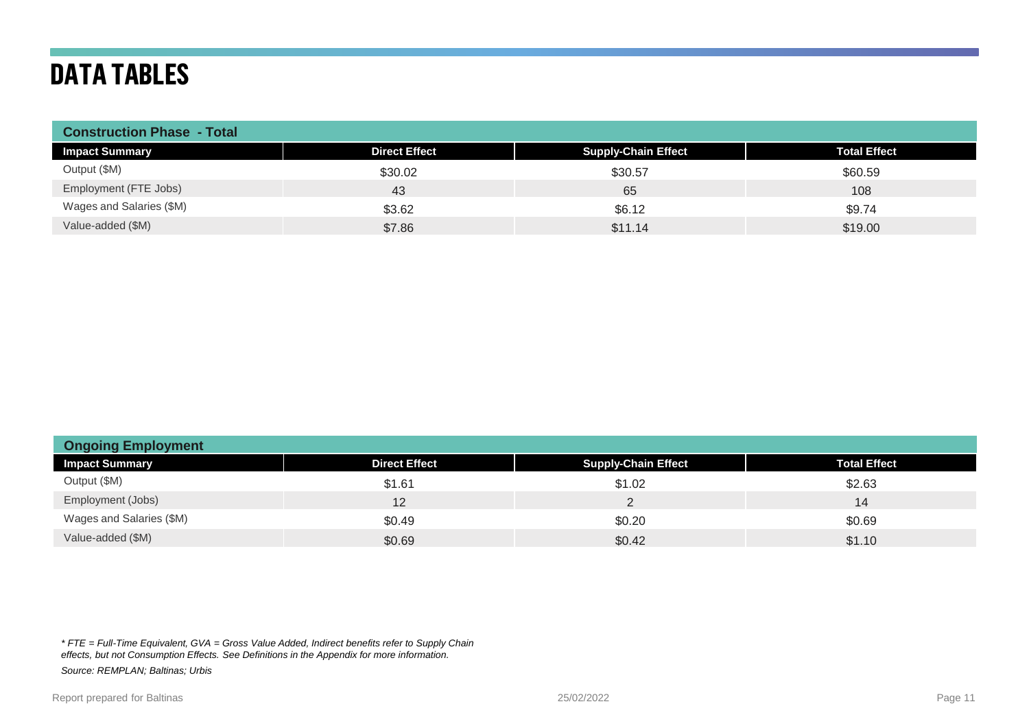## **DATA TABLES**

| <b>Construction Phase - Total</b> |                      |                            |                     |
|-----------------------------------|----------------------|----------------------------|---------------------|
| <b>Impact Summary</b>             | <b>Direct Effect</b> | <b>Supply-Chain Effect</b> | <b>Total Effect</b> |
| Output (\$M)                      | \$30.02              | \$30.57                    | \$60.59             |
| Employment (FTE Jobs)             | 43                   | 65                         | 108                 |
| Wages and Salaries (\$M)          | \$3.62               | \$6.12                     | \$9.74              |
| Value-added (\$M)                 | \$7.86               | \$11.14                    | \$19.00             |

| <b>Ongoing Employment</b> |                      |                            |                     |
|---------------------------|----------------------|----------------------------|---------------------|
| <b>Impact Summary</b>     | <b>Direct Effect</b> | <b>Supply-Chain Effect</b> | <b>Total Effect</b> |
| Output (\$M)              | \$1.61               | \$1.02                     | \$2.63              |
| Employment (Jobs)         | 12.                  |                            | 14                  |
| Wages and Salaries (\$M)  | \$0.49               | \$0.20                     | \$0.69              |
| Value-added (\$M)         | \$0.69               | \$0.42                     | \$1.10              |

*\* FTE = Full-Time Equivalent, GVA = Gross Value Added, Indirect benefits refer to Supply Chain effects, but not Consumption Effects. See Definitions in the Appendix for more information. Source: REMPLAN; Baltinas; Urbis*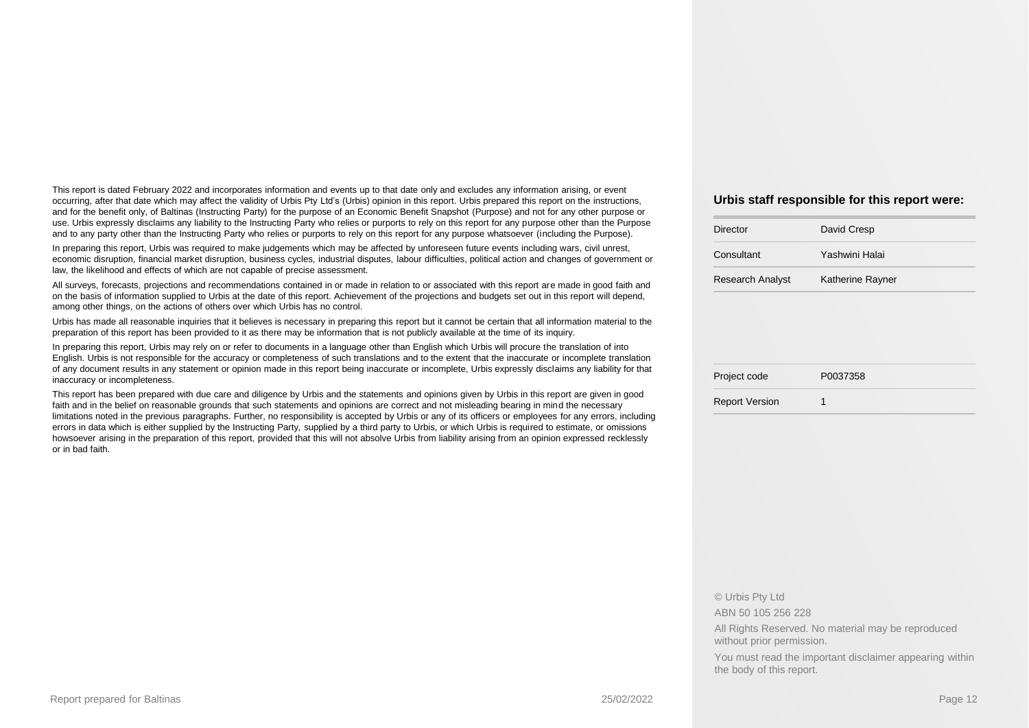This report is dated February 2022 and incorporates information and events up to that date only and excludes any information arising, or event occurring, after that date which may affect the validity of Urbis Pty Ltd's (Urbis) opinion in this report. Urbis prepared this report on the instructions, and for the benefit only, of Baltinas (Instructing Party) for the purpose of an Economic Benefit Snapshot (Purpose) and not for any other purpose or use. Urbis expressly disclaims any liability to the Instructing Party who relies or purports to rely on this report for any purpose other than the Purpose and to any party other than the Instructing Party who relies or purports to rely on this report for any purpose whatsoever (including the Purpose).

In preparing this report, Urbis was required to make judgements which may be affected by unforeseen future events including wars, civil unrest, economic disruption, financial market disruption, business cycles, industrial disputes, labour difficulties, political action and changes of government or law, the likelihood and effects of which are not capable of precise assessment.

All surveys, forecasts, projections and recommendations contained in or made in relation to or associated with this report are made in good faith and on the basis of information supplied to Urbis at the date of this report. Achievement of the projections and budgets set out in this report will depend, among other things, on the actions of others over which Urbis has no control.

Urbis has made all reasonable inquiries that it believes is necessary in preparing this report but it cannot be certain that all information material to the preparation of this report has been provided to it as there may be information that is not publicly available at the time of its inquiry.

In preparing this report, Urbis may rely on or refer to documents in a language other than English which Urbis will procure the translation of into English. Urbis is not responsible for the accuracy or completeness of such translations and to the extent that the inaccurate or incomplete translation of any document results in any statement or opinion made in this report being inaccurate or incomplete, Urbis expressly disclaims any liability for that inaccuracy or incompleteness.

This report has been prepared with due care and diligence by Urbis and the statements and opinions given by Urbis in this report are given in good faith and in the belief on reasonable grounds that such statements and opinions are correct and not misleading bearing in mind the necessary limitations noted in the previous paragraphs. Further, no responsibility is accepted by Urbis or any of its officers or employees for any errors, including errors in data which is either supplied by the Instructing Party, supplied by a third party to Urbis, or which Urbis is required to estimate, or omissions howsoever arising in the preparation of this report, provided that this will not absolve Urbis from liability arising from an opinion expressed recklessly or in bad faith.

#### **Urbis staff responsible for this report were:**

| Director                | David Cresp      |
|-------------------------|------------------|
| Consultant              | Yashwini Halai   |
| <b>Research Analyst</b> | Katherine Rayner |
|                         |                  |
|                         |                  |
|                         |                  |

| Project code | P0037358 |
|--------------|----------|
|              |          |

Report Version 1

#### © Urbis Pty Ltd

ABN 50 105 256 228

All Rights Reserved. No material may be reproduced without prior permission.

You must read the important disclaimer appearing within the body of this report.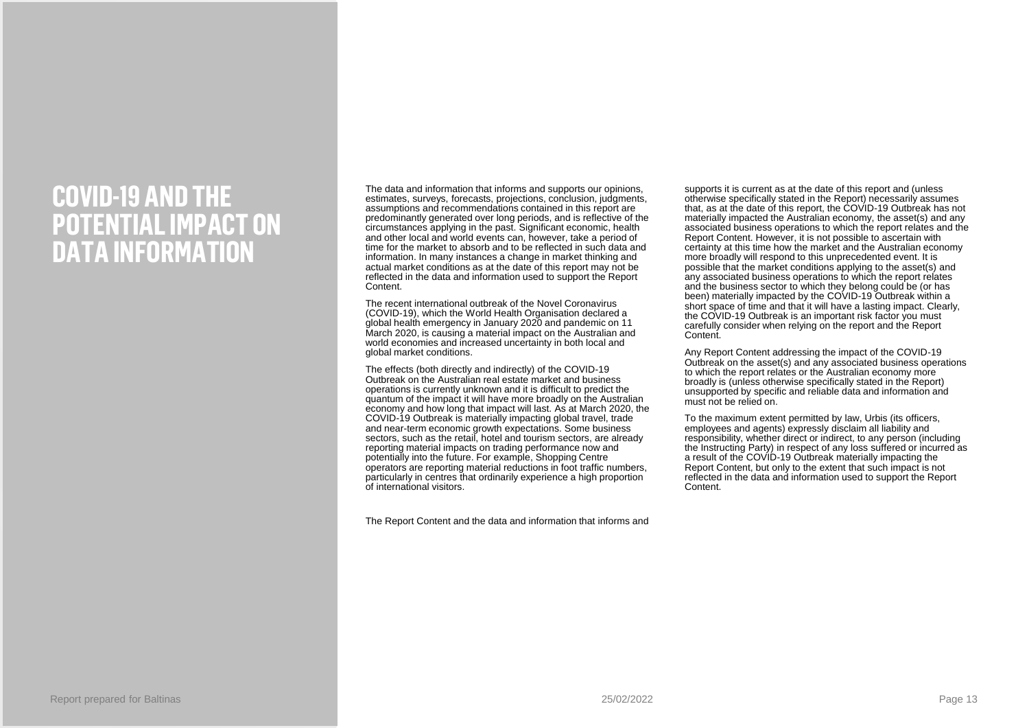## **COVID-19 AND THE POTENTIAL IMPACT ON DATA INFORMATION**

The data and information that informs and supports our opinions, estimates, surveys, forecasts, projections, conclusion, judgments, assumptions and recommendations contained in this report are predominantly generated over long periods, and is reflective of the circumstances applying in the past. Significant economic, health and other local and world events can, however, take a period of time for the market to absorb and to be reflected in such data and information. In many instances a change in market thinking and actual market conditions as at the date of this report may not be reflected in the data and information used to support the Report Content.

The recent international outbreak of the Novel Coronavirus (COVID-19), which the World Health Organisation declared a global health emergency in January 2020 and pandemic on 11 March 2020, is causing a material impact on the Australian and world economies and increased uncertainty in both local and global market conditions.

The effects (both directly and indirectly) of the COVID-19 Outbreak on the Australian real estate market and business operations is currently unknown and it is difficult to predict the quantum of the impact it will have more broadly on the Australian economy and how long that impact will last. As at March 2020, the COVID-19 Outbreak is materially impacting global travel, trade and near-term economic growth expectations. Some business sectors, such as the retail, hotel and tourism sectors, are already reporting material impacts on trading performance now and potentially into the future. For example, Shopping Centre operators are reporting material reductions in foot traffic numbers, particularly in centres that ordinarily experience a high proportion of international visitors.

The Report Content and the data and information that informs and

supports it is current as at the date of this report and (unless otherwise specifically stated in the Report) necessarily assumes that, as at the date of this report, the COVID-19 Outbreak has not materially impacted the Australian economy, the asset(s) and any associated business operations to which the report relates and the Report Content. However, it is not possible to ascertain with certainty at this time how the market and the Australian economy more broadly will respond to this unprecedented event. It is possible that the market conditions applying to the asset(s) and any associated business operations to which the report relates and the business sector to which they belong could be (or has been) materially impacted by the COVID-19 Outbreak within a short space of time and that it will have a lasting impact. Clearly, the COVID-19 Outbreak is an important risk factor you must carefully consider when relying on the report and the Report Content.

Any Report Content addressing the impact of the COVID-19 Outbreak on the asset(s) and any associated business operations to which the report relates or the Australian economy more broadly is (unless otherwise specifically stated in the Report) unsupported by specific and reliable data and information and must not be relied on.

To the maximum extent permitted by law, Urbis (its officers, employees and agents) expressly disclaim all liability and responsibility, whether direct or indirect, to any person (including the Instructing Party) in respect of any loss suffered or incurred as a result of the COVID-19 Outbreak materially impacting the Report Content, but only to the extent that such impact is not reflected in the data and information used to support the Report Content.